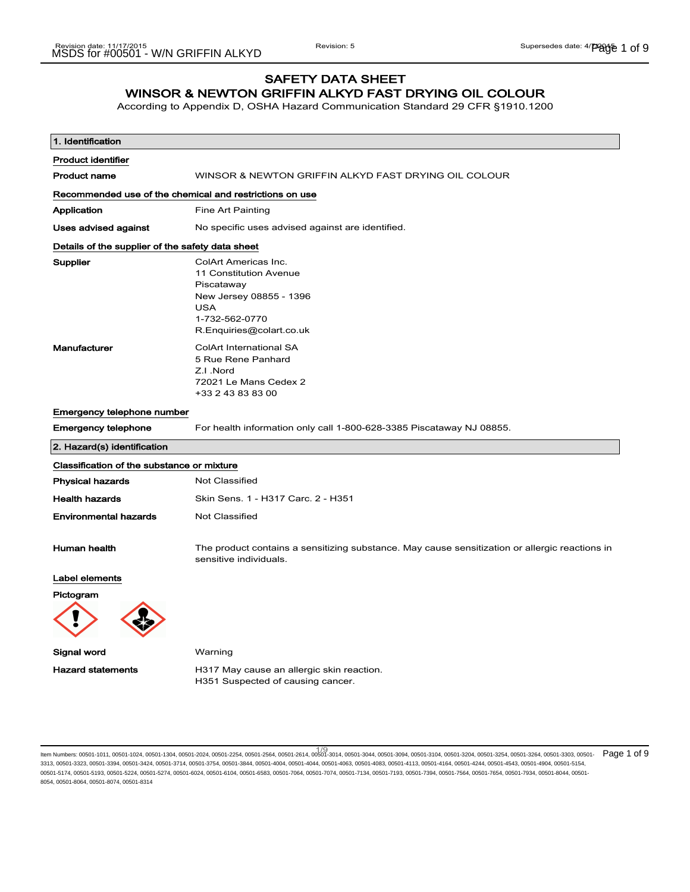# SAFETY DATA SHEET WINSOR & NEWTON GRIFFIN ALKYD FAST DRYING OIL COLOUR

According to Appendix D, OSHA Hazard Communication Standard 29 CFR §1910.1200

| 1. Identification                                       |                                                                                                                                                     |  |
|---------------------------------------------------------|-----------------------------------------------------------------------------------------------------------------------------------------------------|--|
| <b>Product identifier</b>                               |                                                                                                                                                     |  |
| <b>Product name</b>                                     | WINSOR & NEWTON GRIFFIN ALKYD FAST DRYING OIL COLOUR                                                                                                |  |
| Recommended use of the chemical and restrictions on use |                                                                                                                                                     |  |
| Application                                             | Fine Art Painting                                                                                                                                   |  |
| <b>Uses advised against</b>                             | No specific uses advised against are identified.                                                                                                    |  |
| Details of the supplier of the safety data sheet        |                                                                                                                                                     |  |
| Supplier                                                | ColArt Americas Inc.<br>11 Constitution Avenue<br>Piscataway<br>New Jersey 08855 - 1396<br><b>USA</b><br>1-732-562-0770<br>R.Enquiries@colart.co.uk |  |
| Manufacturer                                            | <b>ColArt International SA</b><br>5 Rue Rene Panhard<br>Z.I.Nord<br>72021 Le Mans Cedex 2<br>+33 2 43 83 83 00                                      |  |
| <b>Emergency telephone number</b>                       |                                                                                                                                                     |  |
| <b>Emergency telephone</b>                              | For health information only call 1-800-628-3385 Piscataway NJ 08855.                                                                                |  |
| 2. Hazard(s) identification                             |                                                                                                                                                     |  |
| Classification of the substance or mixture              |                                                                                                                                                     |  |
| <b>Physical hazards</b>                                 | Not Classified                                                                                                                                      |  |
| <b>Health hazards</b>                                   | Skin Sens. 1 - H317 Carc. 2 - H351                                                                                                                  |  |
| <b>Environmental hazards</b>                            | <b>Not Classified</b>                                                                                                                               |  |
| Human health                                            | The product contains a sensitizing substance. May cause sensitization or allergic reactions in<br>sensitive individuals.                            |  |
| Label elements                                          |                                                                                                                                                     |  |
| Pictogram                                               |                                                                                                                                                     |  |
| Signal word                                             | Warning                                                                                                                                             |  |
| <b>Hazard statements</b>                                | H317 May cause an allergic skin reaction.<br>H351 Suspected of causing cancer.                                                                      |  |

1/ 9 Item Numbers: 00501-1011, 00501-1024, 00501-1304, 00501-2024, 00501-2254, 00501-2564, 00501-2614, 00501-3014, 00501-3044, 00501-3094, 00501-3104, 00501-3204, 00501-3254, 00501-3264, 00501-3303, 00501- Page 1 of 93313, 00501-3323, 00501-3394, 00501-3424, 00501-3714, 00501-3754, 00501-3844, 00501-4004, 00501-4044, 00501-4063, 00501-4083, 00501-4113, 00501-4164, 00501-4244, 00501-4543, 00501-4904, 00501-5154, 00501-5174, 00501-5193, 00501-5224, 00501-5274, 00501-6024, 00501-6104, 00501-6583, 00501-7064, 00501-7074, 00501-7134, 00501-7193, 00501-7394, 00501-7564, 00501-7654, 00501-7934, 00501-8044, 00501- 8054, 00501-8064, 00501-8074, 00501-8314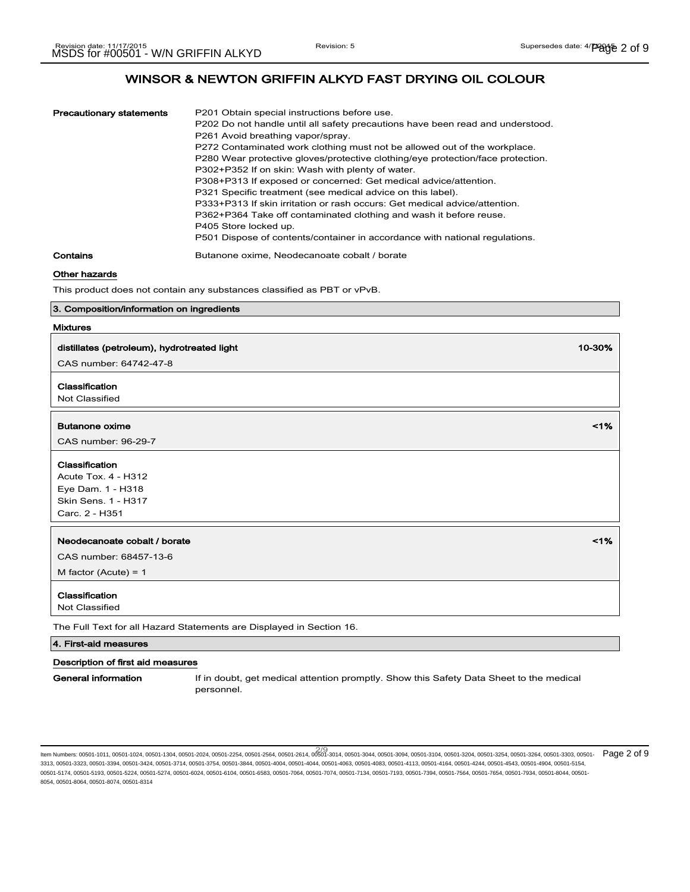| Precautionary statements | P201 Obtain special instructions before use.                                    |
|--------------------------|---------------------------------------------------------------------------------|
|                          | P202 Do not handle until all safety precautions have been read and understood.  |
|                          | P261 Avoid breathing vapor/spray.                                               |
|                          | P272 Contaminated work clothing must not be allowed out of the workplace.       |
|                          | P280 Wear protective gloves/protective clothing/eye protection/face protection. |
|                          | P302+P352 If on skin: Wash with plenty of water.                                |
|                          | P308+P313 If exposed or concerned: Get medical advice/attention.                |
|                          | P321 Specific treatment (see medical advice on this label).                     |
|                          | P333+P313 If skin irritation or rash occurs: Get medical advice/attention.      |
|                          | P362+P364 Take off contaminated clothing and wash it before reuse.              |
|                          | P405 Store locked up.                                                           |
|                          | P501 Dispose of contents/container in accordance with national regulations.     |
| Contains                 | Butanone oxime, Neodecanoate cobalt / borate                                    |

## Other hazards

This product does not contain any substances classified as PBT or vPvB.

### 3. Composition/information on ingredients

## Mixtures

| distillates (petroleum), hydrotreated light                          | 10-30% |
|----------------------------------------------------------------------|--------|
| CAS number: 64742-47-8                                               |        |
| Classification                                                       |        |
| Not Classified                                                       |        |
| <b>Butanone oxime</b>                                                | 1%     |
| CAS number: 96-29-7                                                  |        |
| Classification                                                       |        |
| <b>Acute Tox. 4 - H312</b>                                           |        |
| Eye Dam. 1 - H318                                                    |        |
| <b>Skin Sens. 1 - H317</b>                                           |        |
| Carc. 2 - H351                                                       |        |
| Neodecanoate cobalt / borate                                         | 1%     |
|                                                                      |        |
| CAS number: 68457-13-6                                               |        |
| M factor (Acute) = $1$                                               |        |
| Classification                                                       |        |
| Not Classified                                                       |        |
| The Full Text for all Hazard Statements are Displayed in Section 16. |        |

## 4. First-aid measures

### Description of first aid measures

General information If in doubt, get medical attention promptly. Show this Safety Data Sheet to the medical personnel.

ltem Numbers: 00501-1011, 00501-1024, 00501-1304, 00501-2024, 00501-2254, 00501-2564, 00501-2614, 00501-3014, 00501-3044, 00501-3094, 00501-3104, 00501-3204, 00501-3254, 00501-3264, 00501-3303, 00501-<br>Item Numbers: 00501-1 3313, 00501-3323, 00501-3394, 00501-3424, 00501-3714, 00501-3754, 00501-3844, 00501-4004, 00501-4044, 00501-4063, 00501-4083, 00501-4113, 00501-4164, 00501-4244, 00501-4543, 00501-4904, 00501-5154, 00501-5174, 00501-5193, 00501-5224, 00501-5274, 00501-6024, 00501-6104, 00501-6583, 00501-7064, 00501-7074, 00501-7134, 00501-7193, 00501-7394, 00501-7564, 00501-7654, 00501-7934, 00501-8044, 00501- 8054, 00501-8064, 00501-8074, 00501-8314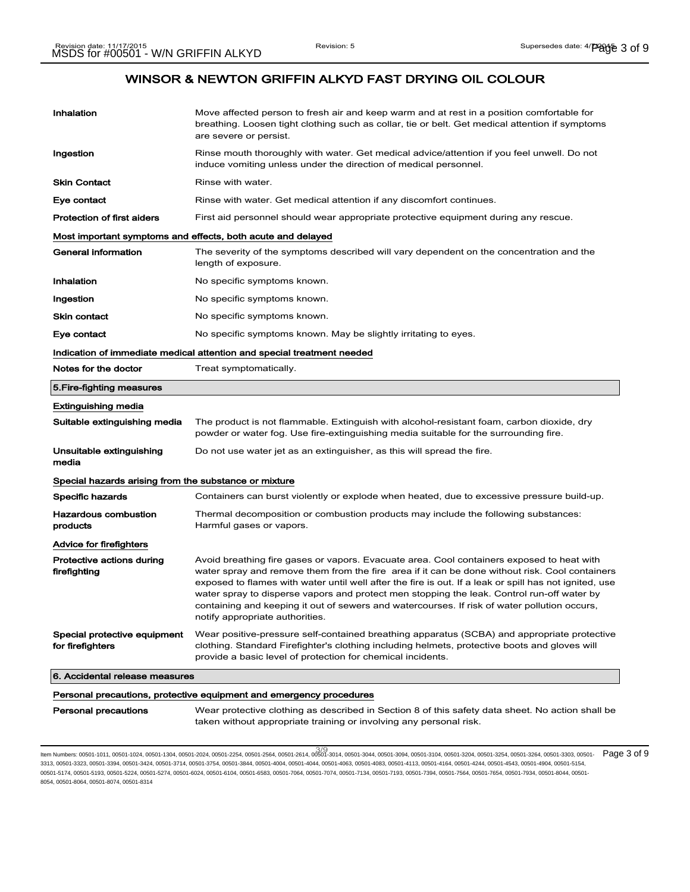| Inhalation                                                          | Move affected person to fresh air and keep warm and at rest in a position comfortable for<br>breathing. Loosen tight clothing such as collar, tie or belt. Get medical attention if symptoms<br>are severe or persist.                                                                                                                                                                                                                                                                                                                 |  |
|---------------------------------------------------------------------|----------------------------------------------------------------------------------------------------------------------------------------------------------------------------------------------------------------------------------------------------------------------------------------------------------------------------------------------------------------------------------------------------------------------------------------------------------------------------------------------------------------------------------------|--|
| Ingestion                                                           | Rinse mouth thoroughly with water. Get medical advice/attention if you feel unwell. Do not<br>induce vomiting unless under the direction of medical personnel.                                                                                                                                                                                                                                                                                                                                                                         |  |
| <b>Skin Contact</b>                                                 | Rinse with water.                                                                                                                                                                                                                                                                                                                                                                                                                                                                                                                      |  |
| Eye contact                                                         | Rinse with water. Get medical attention if any discomfort continues.                                                                                                                                                                                                                                                                                                                                                                                                                                                                   |  |
| <b>Protection of first aiders</b>                                   | First aid personnel should wear appropriate protective equipment during any rescue.                                                                                                                                                                                                                                                                                                                                                                                                                                                    |  |
| Most important symptoms and effects, both acute and delayed         |                                                                                                                                                                                                                                                                                                                                                                                                                                                                                                                                        |  |
| General information                                                 | The severity of the symptoms described will vary dependent on the concentration and the<br>length of exposure.                                                                                                                                                                                                                                                                                                                                                                                                                         |  |
| Inhalation                                                          | No specific symptoms known.                                                                                                                                                                                                                                                                                                                                                                                                                                                                                                            |  |
| Ingestion                                                           | No specific symptoms known.                                                                                                                                                                                                                                                                                                                                                                                                                                                                                                            |  |
| <b>Skin contact</b>                                                 | No specific symptoms known.                                                                                                                                                                                                                                                                                                                                                                                                                                                                                                            |  |
| Eye contact                                                         | No specific symptoms known. May be slightly irritating to eyes.                                                                                                                                                                                                                                                                                                                                                                                                                                                                        |  |
|                                                                     | Indication of immediate medical attention and special treatment needed                                                                                                                                                                                                                                                                                                                                                                                                                                                                 |  |
| Notes for the doctor                                                | Treat symptomatically.                                                                                                                                                                                                                                                                                                                                                                                                                                                                                                                 |  |
| 5. Fire-fighting measures                                           |                                                                                                                                                                                                                                                                                                                                                                                                                                                                                                                                        |  |
| Extinguishing media                                                 |                                                                                                                                                                                                                                                                                                                                                                                                                                                                                                                                        |  |
| Suitable extinguishing media                                        | The product is not flammable. Extinguish with alcohol-resistant foam, carbon dioxide, dry<br>powder or water fog. Use fire-extinguishing media suitable for the surrounding fire.                                                                                                                                                                                                                                                                                                                                                      |  |
| Unsuitable extinguishing<br>media                                   | Do not use water jet as an extinguisher, as this will spread the fire.                                                                                                                                                                                                                                                                                                                                                                                                                                                                 |  |
| Special hazards arising from the substance or mixture               |                                                                                                                                                                                                                                                                                                                                                                                                                                                                                                                                        |  |
| Specific hazards                                                    | Containers can burst violently or explode when heated, due to excessive pressure build-up.                                                                                                                                                                                                                                                                                                                                                                                                                                             |  |
| <b>Hazardous combustion</b><br>products                             | Thermal decomposition or combustion products may include the following substances:<br>Harmful gases or vapors.                                                                                                                                                                                                                                                                                                                                                                                                                         |  |
| <b>Advice for firefighters</b>                                      |                                                                                                                                                                                                                                                                                                                                                                                                                                                                                                                                        |  |
| Protective actions during<br>firefighting                           | Avoid breathing fire gases or vapors. Evacuate area. Cool containers exposed to heat with<br>water spray and remove them from the fire area if it can be done without risk. Cool containers<br>exposed to flames with water until well after the fire is out. If a leak or spill has not ignited, use<br>water spray to disperse vapors and protect men stopping the leak. Control run-off water by<br>containing and keeping it out of sewers and watercourses. If risk of water pollution occurs,<br>notify appropriate authorities. |  |
| Special protective equipment<br>for firefighters                    | Wear positive-pressure self-contained breathing apparatus (SCBA) and appropriate protective<br>clothing. Standard Firefighter's clothing including helmets, protective boots and gloves will<br>provide a basic level of protection for chemical incidents.                                                                                                                                                                                                                                                                            |  |
| 6. Accidental release measures                                      |                                                                                                                                                                                                                                                                                                                                                                                                                                                                                                                                        |  |
| Personal precautions, protective equipment and emergency procedures |                                                                                                                                                                                                                                                                                                                                                                                                                                                                                                                                        |  |
| <b>Personal precautions</b>                                         | Wear protective clothing as described in Section 8 of this safety data sheet. No action shall be<br>taken without appropriate training or involving any personal risk.                                                                                                                                                                                                                                                                                                                                                                 |  |

ltem Numbers: 00501-1011, 00501-1024, 00501-1304, 00501-2024, 00501-2254, 00501-2564, 00501-2614, 00501-3014, 00501-3044, 00501-3094, 00501-3104, 00501-3204, 00501-3254, 00501-3264, 00501-3303, 00501-<br>Item Numbers: 00501-1 3313, 00501-3323, 00501-3394, 00501-3424, 00501-3714, 00501-3754, 00501-3844, 00501-4004, 00501-4044, 00501-4063, 00501-4083, 00501-4113, 00501-4164, 00501-4244, 00501-4543, 00501-4904, 00501-5154, 00501-5174, 00501-5193, 00501-5224, 00501-5274, 00501-6024, 00501-6104, 00501-6583, 00501-7064, 00501-7074, 00501-7134, 00501-7193, 00501-7394, 00501-7564, 00501-7654, 00501-7934, 00501-8044, 00501- 8054, 00501-8064, 00501-8074, 00501-8314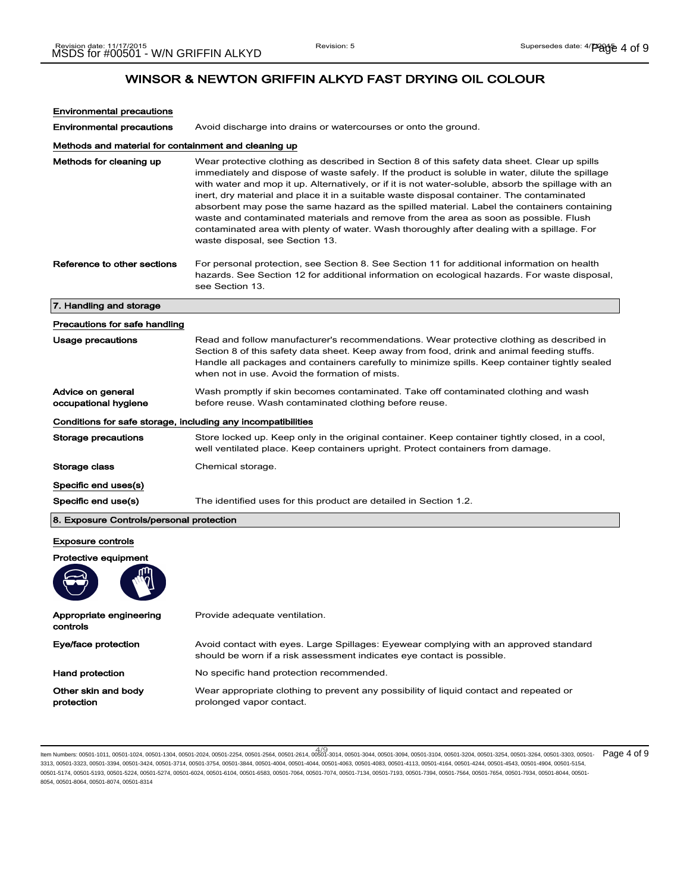| <b>Environmental precautions</b>                             |                                                                                                                                                                                                                                                                                                                                                                                                                                                                                                                                                                                                                                                                                                                               |
|--------------------------------------------------------------|-------------------------------------------------------------------------------------------------------------------------------------------------------------------------------------------------------------------------------------------------------------------------------------------------------------------------------------------------------------------------------------------------------------------------------------------------------------------------------------------------------------------------------------------------------------------------------------------------------------------------------------------------------------------------------------------------------------------------------|
| <b>Environmental precautions</b>                             | Avoid discharge into drains or watercourses or onto the ground.                                                                                                                                                                                                                                                                                                                                                                                                                                                                                                                                                                                                                                                               |
| Methods and material for containment and cleaning up         |                                                                                                                                                                                                                                                                                                                                                                                                                                                                                                                                                                                                                                                                                                                               |
| Methods for cleaning up                                      | Wear protective clothing as described in Section 8 of this safety data sheet. Clear up spills<br>immediately and dispose of waste safely. If the product is soluble in water, dilute the spillage<br>with water and mop it up. Alternatively, or if it is not water-soluble, absorb the spillage with an<br>inert, dry material and place it in a suitable waste disposal container. The contaminated<br>absorbent may pose the same hazard as the spilled material. Label the containers containing<br>waste and contaminated materials and remove from the area as soon as possible. Flush<br>contaminated area with plenty of water. Wash thoroughly after dealing with a spillage. For<br>waste disposal, see Section 13. |
| Reference to other sections                                  | For personal protection, see Section 8. See Section 11 for additional information on health<br>hazards. See Section 12 for additional information on ecological hazards. For waste disposal,<br>see Section 13.                                                                                                                                                                                                                                                                                                                                                                                                                                                                                                               |
| 7. Handling and storage                                      |                                                                                                                                                                                                                                                                                                                                                                                                                                                                                                                                                                                                                                                                                                                               |
| Precautions for safe handling                                |                                                                                                                                                                                                                                                                                                                                                                                                                                                                                                                                                                                                                                                                                                                               |
| Usage precautions                                            | Read and follow manufacturer's recommendations. Wear protective clothing as described in<br>Section 8 of this safety data sheet. Keep away from food, drink and animal feeding stuffs.<br>Handle all packages and containers carefully to minimize spills. Keep container tightly sealed<br>when not in use. Avoid the formation of mists.                                                                                                                                                                                                                                                                                                                                                                                    |
| Advice on general<br>occupational hygiene                    | Wash promptly if skin becomes contaminated. Take off contaminated clothing and wash<br>before reuse. Wash contaminated clothing before reuse.                                                                                                                                                                                                                                                                                                                                                                                                                                                                                                                                                                                 |
| Conditions for safe storage, including any incompatibilities |                                                                                                                                                                                                                                                                                                                                                                                                                                                                                                                                                                                                                                                                                                                               |
| Storage precautions                                          | Store locked up. Keep only in the original container. Keep container tightly closed, in a cool,<br>well ventilated place. Keep containers upright. Protect containers from damage.                                                                                                                                                                                                                                                                                                                                                                                                                                                                                                                                            |
| Storage class                                                | Chemical storage.                                                                                                                                                                                                                                                                                                                                                                                                                                                                                                                                                                                                                                                                                                             |
| Specific end uses(s)                                         |                                                                                                                                                                                                                                                                                                                                                                                                                                                                                                                                                                                                                                                                                                                               |
| Specific end use(s)                                          | The identified uses for this product are detailed in Section 1.2.                                                                                                                                                                                                                                                                                                                                                                                                                                                                                                                                                                                                                                                             |
| 8. Exposure Controls/personal protection                     |                                                                                                                                                                                                                                                                                                                                                                                                                                                                                                                                                                                                                                                                                                                               |
| <b>Exposure controls</b>                                     |                                                                                                                                                                                                                                                                                                                                                                                                                                                                                                                                                                                                                                                                                                                               |
| <b>Protective equipment</b>                                  |                                                                                                                                                                                                                                                                                                                                                                                                                                                                                                                                                                                                                                                                                                                               |
| Appropriate engineering<br>controls                          | Provide adequate ventilation.                                                                                                                                                                                                                                                                                                                                                                                                                                                                                                                                                                                                                                                                                                 |
|                                                              |                                                                                                                                                                                                                                                                                                                                                                                                                                                                                                                                                                                                                                                                                                                               |
| Eye/face protection                                          | Avoid contact with eyes. Large Spillages: Eyewear complying with an approved standard<br>should be worn if a risk assessment indicates eye contact is possible.                                                                                                                                                                                                                                                                                                                                                                                                                                                                                                                                                               |
| Hand protection                                              | No specific hand protection recommended.                                                                                                                                                                                                                                                                                                                                                                                                                                                                                                                                                                                                                                                                                      |

4/ 9 Item Numbers: 00501-1011, 00501-1024, 00501-1304, 00501-2024, 00501-2254, 00501-2564, 00501-2614, 00501-3014, 00501-3044, 00501-3094, 00501-3104, 00501-3204, 00501-3254, 00501-3264, 00501-3303, 00501- Page 4 of 93313, 00501-3323, 00501-3394, 00501-3424, 00501-3714, 00501-3754, 00501-3844, 00501-4004, 00501-4044, 00501-4063, 00501-4083, 00501-4113, 00501-4164, 00501-4244, 00501-4543, 00501-4904, 00501-5154, 00501-5174, 00501-5193, 00501-5224, 00501-5274, 00501-6024, 00501-6104, 00501-6583, 00501-7064, 00501-7074, 00501-7134, 00501-7193, 00501-7394, 00501-7564, 00501-7654, 00501-7934, 00501-8044, 00501- 8054, 00501-8064, 00501-8074, 00501-8314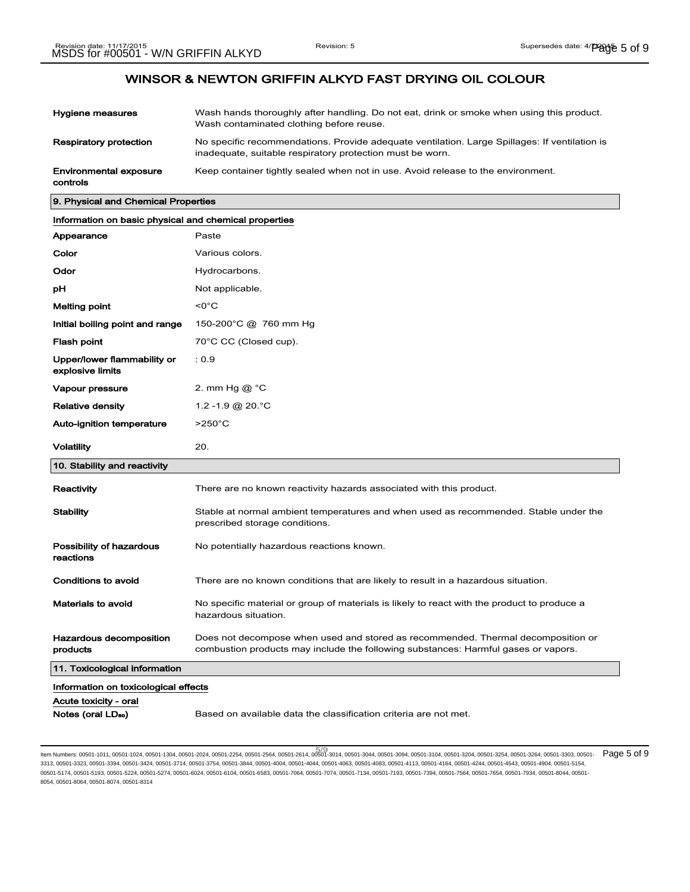| Hygiene measures                          | Wash hands thoroughly after handling. Do not eat, drink or smoke when using this product.<br>Wash contaminated clothing before reuse.                      |
|-------------------------------------------|------------------------------------------------------------------------------------------------------------------------------------------------------------|
| Respiratory protection                    | No specific recommendations. Provide adequate ventilation. Large Spillages: If ventilation is<br>inadequate, suitable respiratory protection must be worn. |
| <b>Environmental exposure</b><br>controls | Keep container tightly sealed when not in use. Avoid release to the environment.                                                                           |

| 9. Physical and Chemical Properties                   |                                                                                                                        |
|-------------------------------------------------------|------------------------------------------------------------------------------------------------------------------------|
| Information on basic physical and chemical properties |                                                                                                                        |
| Appearance                                            | Paste                                                                                                                  |
| Color                                                 | Various colors.                                                                                                        |
| Odor                                                  | Hydrocarbons.                                                                                                          |
| рH                                                    | Not applicable.                                                                                                        |
| Melting point                                         | $< 0^{\circ}$ C                                                                                                        |
| Initial boiling point and range                       | 150-200°C @ 760 mm Hg                                                                                                  |
| <b>Flash point</b>                                    | 70°C CC (Closed cup).                                                                                                  |
| Upper/lower flammability or<br>explosive limits       | : 0.9                                                                                                                  |
| Vapour pressure                                       | 2. mm Hg @ °C                                                                                                          |
| <b>Relative density</b>                               | 1.2 -1.9 @ 20. °C                                                                                                      |
| Auto-ignition temperature                             | $>250^{\circ}$ C                                                                                                       |
| <b>Volatility</b>                                     | 20.                                                                                                                    |
| 10. Stability and reactivity                          |                                                                                                                        |
| Reactivity                                            | There are no known reactivity hazards associated with this product.                                                    |
| <b>Stability</b>                                      | Stable at normal ambient temperatures and when used as recommended. Stable under the<br>prescribed storage conditions. |
| Possibility of hazardous                              | No potentially hazardous reactions known.                                                                              |

reactions Conditions to avoid There are no known conditions that are likely to result in a hazardous situation. Materials to avoid No specific material or group of materials is likely to react with the product to produce a hazardous situation. Hazardous decomposition Does not decompose when used and stored as recommended. Thermal decomposition or

## products combustion products may include the following substances: Harmful gases or vapors. 11. Toxicological information

Information on toxicological effects

Acute toxicity - oral

Notes (oral LD<sub>so</sub>) Based on available data the classification criteria are not met.

5/ 9 Item Numbers: 00501-1011, 00501-1024, 00501-1304, 00501-2024, 00501-2254, 00501-2564, 00501-2614, 00501-3014, 00501-3044, 00501-3094, 00501-3104, 00501-3204, 00501-3254, 00501-3264, 00501-3303, 00501- Page 5 of 93313, 00501-3323, 00501-3394, 00501-3424, 00501-3714, 00501-3754, 00501-3844, 00501-4004, 00501-4044, 00501-4063, 00501-4083, 00501-4113, 00501-4164, 00501-4244, 00501-4543, 00501-4904, 00501-5154, 00501-5174, 00501-5193, 00501-5224, 00501-5274, 00501-6024, 00501-6104, 00501-6583, 00501-7064, 00501-7074, 00501-7134, 00501-7193, 00501-7394, 00501-7564, 00501-7654, 00501-7934, 00501-8044, 00501- 8054, 00501-8064, 00501-8074, 00501-8314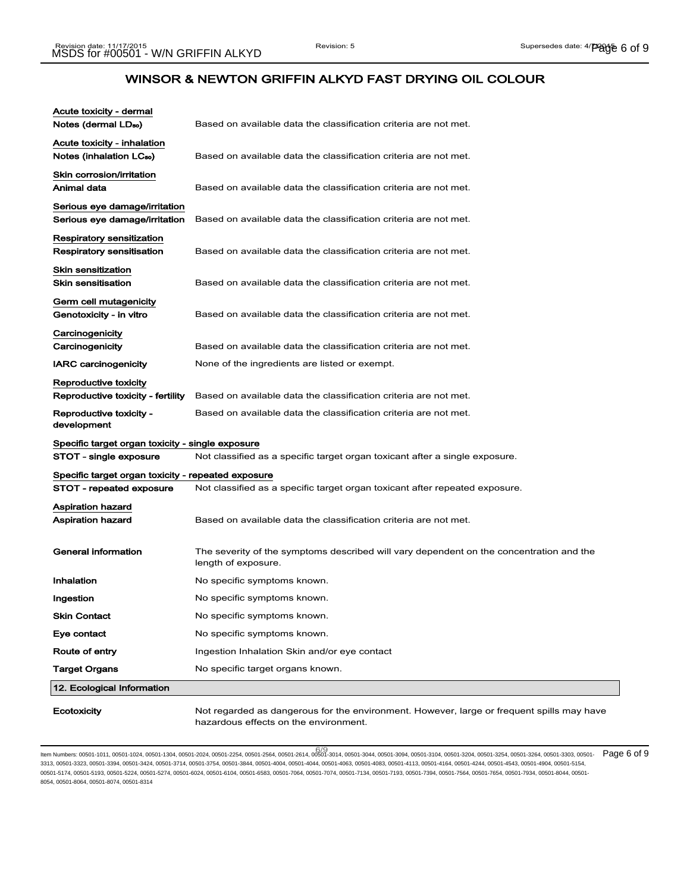$\mathbb{R}^2$ 

## WINSOR & NEWTON GRIFFIN ALKYD FAST DRYING OIL COLOUR

| Acute toxicity - dermal<br>Notes (dermal LD <sub>so</sub> )         | Based on available data the classification criteria are not met.                                               |
|---------------------------------------------------------------------|----------------------------------------------------------------------------------------------------------------|
|                                                                     |                                                                                                                |
| Acute toxicity - inhalation<br>Notes (inhalation LC <sub>50</sub> ) | Based on available data the classification criteria are not met.                                               |
| Skin corrosion/irritation<br>Animal data                            | Based on available data the classification criteria are not met.                                               |
| Serious eye damage/irritation<br>Serious eye damage/irritation      | Based on available data the classification criteria are not met.                                               |
| Respiratory sensitization<br><b>Respiratory sensitisation</b>       | Based on available data the classification criteria are not met.                                               |
| <b>Skin sensitization</b><br><b>Skin sensitisation</b>              | Based on available data the classification criteria are not met.                                               |
| Germ cell mutagenicity<br>Genotoxicity - in vitro                   | Based on available data the classification criteria are not met.                                               |
| Carcinogenicity<br>Carcinogenicity                                  | Based on available data the classification criteria are not met.                                               |
| <b>IARC carcinogenicity</b>                                         | None of the ingredients are listed or exempt.                                                                  |
| Reproductive toxicity<br>Reproductive toxicity - fertility          | Based on available data the classification criteria are not met.                                               |
| Reproductive toxicity -<br>development                              | Based on available data the classification criteria are not met.                                               |
| Specific target organ toxicity - single exposure                    |                                                                                                                |
| STOT - single exposure                                              | Not classified as a specific target organ toxicant after a single exposure.                                    |
| Specific target organ toxicity - repeated exposure                  |                                                                                                                |
| STOT - repeated exposure                                            | Not classified as a specific target organ toxicant after repeated exposure.                                    |
| Aspiration hazard<br>Aspiration hazard                              | Based on available data the classification criteria are not met.                                               |
| General information                                                 | The severity of the symptoms described will vary dependent on the concentration and the<br>length of exposure. |
| Inhalation                                                          | No specific symptoms known.                                                                                    |
| Ingestion                                                           | No specific symptoms known.                                                                                    |
| <b>Skin Contact</b>                                                 | No specific symptoms known.                                                                                    |
| Eye contact                                                         | No specific symptoms known.                                                                                    |
| Route of entry                                                      | Ingestion Inhalation Skin and/or eye contact                                                                   |
| <b>Target Organs</b>                                                | No specific target organs known.                                                                               |
| 12. Ecological Information                                          |                                                                                                                |
|                                                                     |                                                                                                                |

Ecotoxicity Mot regarded as dangerous for the environment. However, large or frequent spills may have hazardous effects on the environment.

ltem Numbers: 00501-1011, 00501-1024, 00501-1304, 00501-2024, 00501-2254, 00501-2564, 00501-2614, 00501-3014, 00501-3044, 00501-3094, 00501-3104, 00501-3204, 00501-3254, 00501-3264, 00501-3303, 00501-<br>Item Numbers: 00501-1 3313, 00501-3323, 00501-3394, 00501-3424, 00501-3714, 00501-3754, 00501-3844, 00501-4004, 00501-4044, 00501-4063, 00501-4083, 00501-4113, 00501-4164, 00501-4244, 00501-4543, 00501-4904, 00501-5154, 00501-5174, 00501-5193, 00501-5224, 00501-5274, 00501-6024, 00501-6104, 00501-6583, 00501-7064, 00501-7074, 00501-7134, 00501-7193, 00501-7394, 00501-7564, 00501-7654, 00501-7934, 00501-8044, 00501- 8054, 00501-8064, 00501-8074, 00501-8314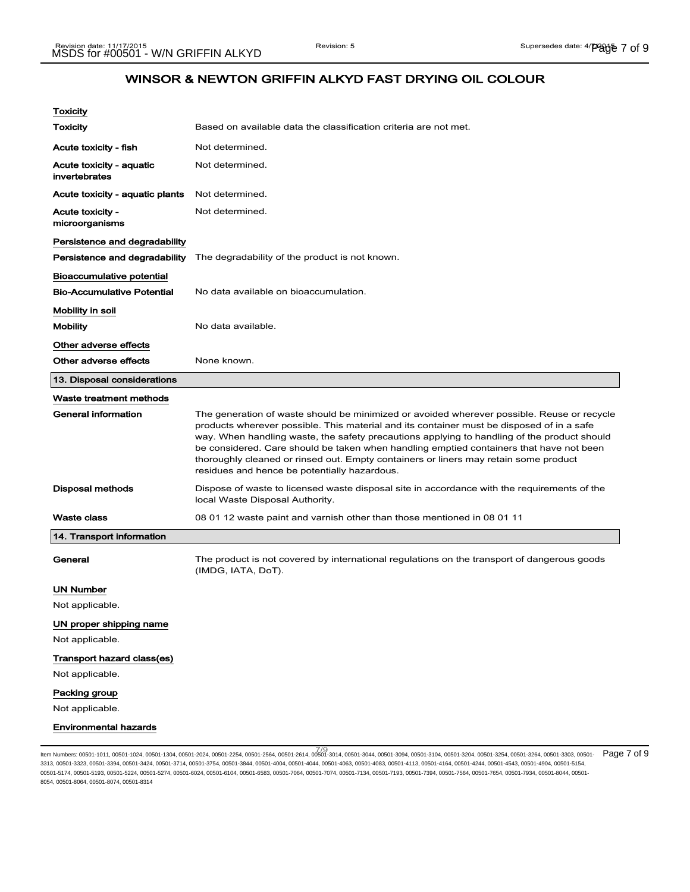| Toxicity                                  |                                                                                                                                                                                                                                                                                                                                                                                                                                                                                                                           |
|-------------------------------------------|---------------------------------------------------------------------------------------------------------------------------------------------------------------------------------------------------------------------------------------------------------------------------------------------------------------------------------------------------------------------------------------------------------------------------------------------------------------------------------------------------------------------------|
| Toxicity                                  | Based on available data the classification criteria are not met.                                                                                                                                                                                                                                                                                                                                                                                                                                                          |
| Acute toxicity - fish                     | Not determined.                                                                                                                                                                                                                                                                                                                                                                                                                                                                                                           |
| Acute toxicity - aquatic<br>invertebrates | Not determined.                                                                                                                                                                                                                                                                                                                                                                                                                                                                                                           |
| Acute toxicity - aquatic plants           | Not determined.                                                                                                                                                                                                                                                                                                                                                                                                                                                                                                           |
| Acute toxicity -<br>microorganisms        | Not determined.                                                                                                                                                                                                                                                                                                                                                                                                                                                                                                           |
| Persistence and degradability             |                                                                                                                                                                                                                                                                                                                                                                                                                                                                                                                           |
|                                           | <b>Persistence and degradability</b> The degradability of the product is not known.                                                                                                                                                                                                                                                                                                                                                                                                                                       |
| Bioaccumulative potential                 |                                                                                                                                                                                                                                                                                                                                                                                                                                                                                                                           |
| <b>Bio-Accumulative Potential</b>         | No data available on bioaccumulation.                                                                                                                                                                                                                                                                                                                                                                                                                                                                                     |
| Mobility in soil                          |                                                                                                                                                                                                                                                                                                                                                                                                                                                                                                                           |
| <b>Mobility</b>                           | No data available.                                                                                                                                                                                                                                                                                                                                                                                                                                                                                                        |
| Other adverse effects                     |                                                                                                                                                                                                                                                                                                                                                                                                                                                                                                                           |
| Other adverse effects                     | None known.                                                                                                                                                                                                                                                                                                                                                                                                                                                                                                               |
| 13. Disposal considerations               |                                                                                                                                                                                                                                                                                                                                                                                                                                                                                                                           |
| Waste treatment methods                   |                                                                                                                                                                                                                                                                                                                                                                                                                                                                                                                           |
| <b>General information</b>                | The generation of waste should be minimized or avoided wherever possible. Reuse or recycle<br>products wherever possible. This material and its container must be disposed of in a safe<br>way. When handling waste, the safety precautions applying to handling of the product should<br>be considered. Care should be taken when handling emptied containers that have not been<br>thoroughly cleaned or rinsed out. Empty containers or liners may retain some product<br>residues and hence be potentially hazardous. |
| Disposal methods                          | Dispose of waste to licensed waste disposal site in accordance with the requirements of the<br>local Waste Disposal Authority.                                                                                                                                                                                                                                                                                                                                                                                            |
| <b>Waste class</b>                        | 08 01 12 waste paint and varnish other than those mentioned in 08 01 11                                                                                                                                                                                                                                                                                                                                                                                                                                                   |
| 14. Transport information                 |                                                                                                                                                                                                                                                                                                                                                                                                                                                                                                                           |
| General                                   | The product is not covered by international regulations on the transport of dangerous goods<br>(IMDG, IATA, DoT).                                                                                                                                                                                                                                                                                                                                                                                                         |
| UN Number                                 |                                                                                                                                                                                                                                                                                                                                                                                                                                                                                                                           |
| Not applicable.                           |                                                                                                                                                                                                                                                                                                                                                                                                                                                                                                                           |
| UN proper shipping name                   |                                                                                                                                                                                                                                                                                                                                                                                                                                                                                                                           |
| Not applicable.                           |                                                                                                                                                                                                                                                                                                                                                                                                                                                                                                                           |
| Transport hazard class(es)                |                                                                                                                                                                                                                                                                                                                                                                                                                                                                                                                           |
| Not applicable.                           |                                                                                                                                                                                                                                                                                                                                                                                                                                                                                                                           |
| Packing group                             |                                                                                                                                                                                                                                                                                                                                                                                                                                                                                                                           |
| Not applicable.                           |                                                                                                                                                                                                                                                                                                                                                                                                                                                                                                                           |
| <b>Environmental hazards</b>              |                                                                                                                                                                                                                                                                                                                                                                                                                                                                                                                           |

7/9 7/9<br>Item Numbers: 00501-1011, 00501-1024, 00501-1304, 00501-2024, 00501-2254, 00501-2564, 00501-2614, 00501-3014, 00501-3044, 00501-3094, 00501-3104, 00501-3204, 00501-3254, 00501-3264, 00501-3303, 00501- Page 7 of 9 3313, 00501-3323, 00501-3394, 00501-3424, 00501-3714, 00501-3754, 00501-3844, 00501-4004, 00501-4044, 00501-4063, 00501-4083, 00501-4113, 00501-4164, 00501-4244, 00501-4543, 00501-4904, 00501-5154, 00501-5174, 00501-5193, 00501-5224, 00501-5274, 00501-6024, 00501-6104, 00501-6583, 00501-7064, 00501-7074, 00501-7134, 00501-7193, 00501-7394, 00501-7564, 00501-7654, 00501-7934, 00501-8044, 00501- 8054, 00501-8064, 00501-8074, 00501-8314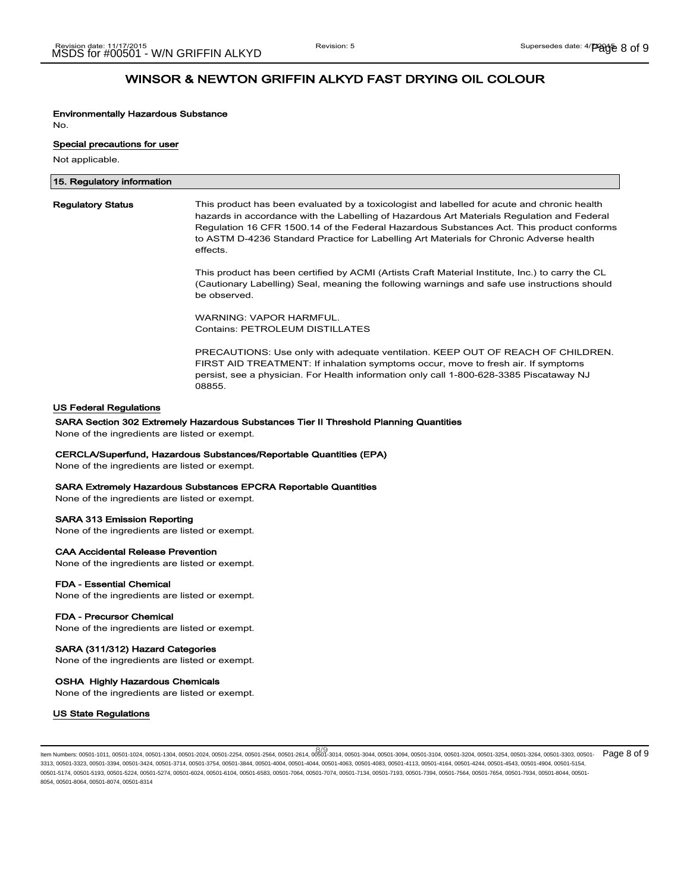# Environmentally Hazardous Substance

No.

#### Special precautions for user

Not applicable.

| 15. Regulatory information |                                                                                                                                                                                                                                                                                                                                                                                              |
|----------------------------|----------------------------------------------------------------------------------------------------------------------------------------------------------------------------------------------------------------------------------------------------------------------------------------------------------------------------------------------------------------------------------------------|
| <b>Regulatory Status</b>   | This product has been evaluated by a toxicologist and labelled for acute and chronic health<br>hazards in accordance with the Labelling of Hazardous Art Materials Regulation and Federal<br>Regulation 16 CFR 1500.14 of the Federal Hazardous Substances Act. This product conforms<br>to ASTM D-4236 Standard Practice for Labelling Art Materials for Chronic Adverse health<br>effects. |
|                            | This product has been certified by ACMI (Artists Craft Material Institute, Inc.) to carry the CL<br>(Cautionary Labelling) Seal, meaning the following warnings and safe use instructions should                                                                                                                                                                                             |

(Cautionary Labelling) Seal, meaning the following warnings and safe use instructions should be observed.

WARNING: VAPOR HARMFUL. Contains: PETROLEUM DISTILLATES

PRECAUTIONS: Use only with adequate ventilation. KEEP OUT OF REACH OF CHILDREN. FIRST AID TREATMENT: If inhalation symptoms occur, move to fresh air. If symptoms persist, see a physician. For Health information only call 1-800-628-3385 Piscataway NJ 08855.

## US Federal Regulations

#### SARA Section 302 Extremely Hazardous Substances Tier II Threshold Planning Quantities

None of the ingredients are listed or exempt.

#### CERCLA/Superfund, Hazardous Substances/Reportable Quantities (EPA)

None of the ingredients are listed or exempt.

#### SARA Extremely Hazardous Substances EPCRA Reportable Quantities

None of the ingredients are listed or exempt.

## SARA 313 Emission Reporting

None of the ingredients are listed or exempt.

## CAA Accidental Release Prevention

None of the ingredients are listed or exempt.

## FDA - Essential Chemical

None of the ingredients are listed or exempt.

#### FDA - Precursor Chemical

None of the ingredients are listed or exempt.

## SARA (311/312) Hazard Categories

None of the ingredients are listed or exempt.

## OSHA Highly Hazardous Chemicals

None of the ingredients are listed or exempt.

### US State Regulations

8/9<br>Item Numbers: 00501-1011, 00501-1024, 00501-1304, 00501-2024, 00501-2254, 00501-2564, 00501-2614, 00501-3014, 00501-3044, 00501-3094, 00501-3104, 00501-3204, 00501-3254, 00501-3264, 00501-3303, 00501- Page 8 of 9 3313, 00501-3323, 00501-3394, 00501-3424, 00501-3714, 00501-3754, 00501-3844, 00501-4004, 00501-4044, 00501-4063, 00501-4083, 00501-4113, 00501-4164, 00501-4244, 00501-4543, 00501-4904, 00501-5154, 00501-5174, 00501-5193, 00501-5224, 00501-5274, 00501-6024, 00501-6104, 00501-6583, 00501-7064, 00501-7074, 00501-7134, 00501-7193, 00501-7394, 00501-7564, 00501-7654, 00501-7934, 00501-8044, 00501- 8054, 00501-8064, 00501-8074, 00501-8314